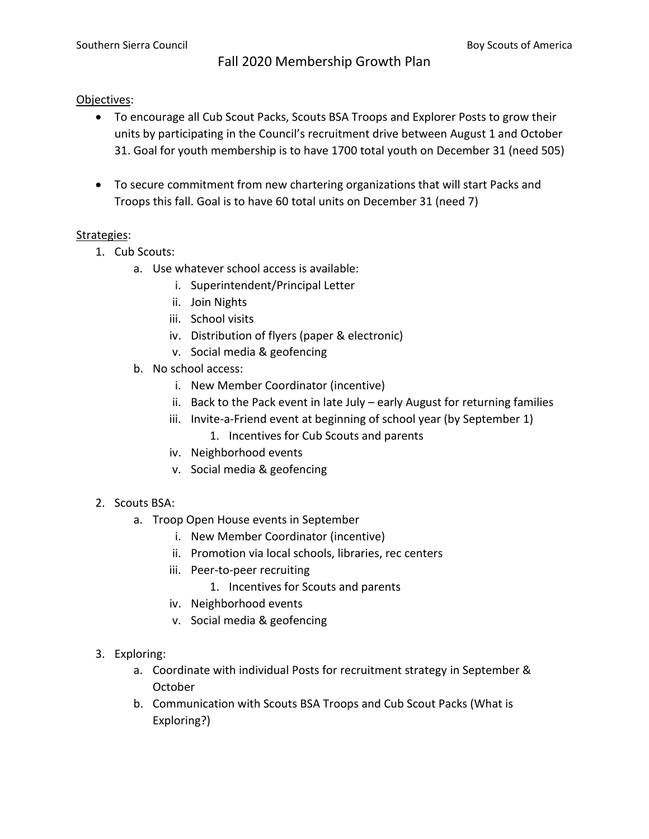## Objectives:

- To encourage all Cub Scout Packs, Scouts BSA Troops and Explorer Posts to grow their units by participating in the Council's recruitment drive between August 1 and October 31. Goal for youth membership is to have 1700 total youth on December 31 (need 505)
- To secure commitment from new chartering organizations that will start Packs and Troops this fall. Goal is to have 60 total units on December 31 (need 7)

## Strategies:

- 1. Cub Scouts:
	- a. Use whatever school access is available:
		- i. Superintendent/Principal Letter
		- ii. Join Nights
		- iii. School visits
		- iv. Distribution of flyers (paper & electronic)
		- v. Social media & geofencing
	- b. No school access:
		- i. New Member Coordinator (incentive)
		- ii. Back to the Pack event in late July early August for returning families
		- iii. Invite-a-Friend event at beginning of school year (by September 1)
			- 1. Incentives for Cub Scouts and parents
		- iv. Neighborhood events
		- v. Social media & geofencing

## 2. Scouts BSA:

- a. Troop Open House events in September
	- i. New Member Coordinator (incentive)
	- ii. Promotion via local schools, libraries, rec centers
	- iii. Peer-to-peer recruiting
		- 1. Incentives for Scouts and parents
	- iv. Neighborhood events
	- v. Social media & geofencing
- 3. Exploring:
	- a. Coordinate with individual Posts for recruitment strategy in September & October
	- b. Communication with Scouts BSA Troops and Cub Scout Packs (What is Exploring?)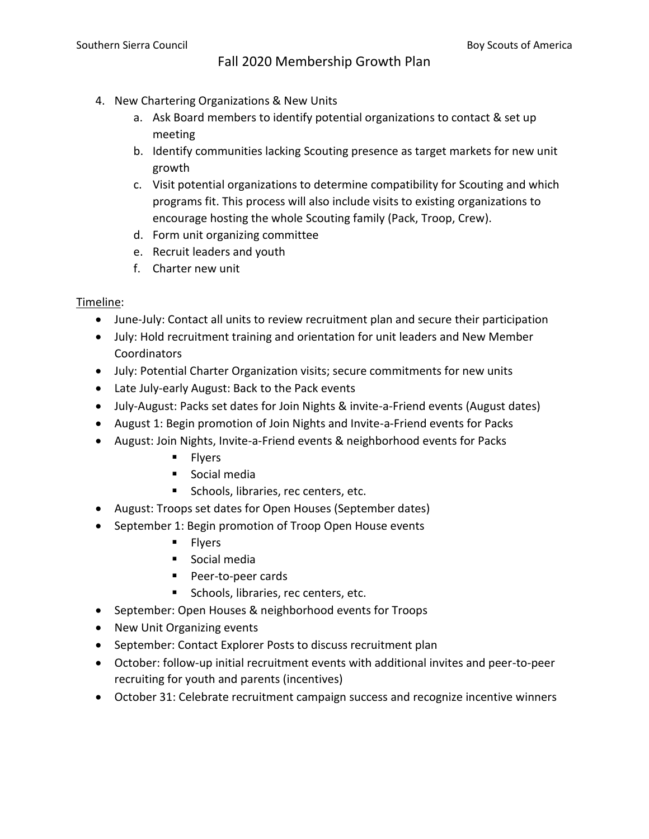- 4. New Chartering Organizations & New Units
	- a. Ask Board members to identify potential organizations to contact & set up meeting
	- b. Identify communities lacking Scouting presence as target markets for new unit growth
	- c. Visit potential organizations to determine compatibility for Scouting and which programs fit. This process will also include visits to existing organizations to encourage hosting the whole Scouting family (Pack, Troop, Crew).
	- d. Form unit organizing committee
	- e. Recruit leaders and youth
	- f. Charter new unit

## Timeline:

- June-July: Contact all units to review recruitment plan and secure their participation
- July: Hold recruitment training and orientation for unit leaders and New Member **Coordinators**
- July: Potential Charter Organization visits; secure commitments for new units
- Late July-early August: Back to the Pack events
- July-August: Packs set dates for Join Nights & invite-a-Friend events (August dates)
- August 1: Begin promotion of Join Nights and Invite-a-Friend events for Packs
- August: Join Nights, Invite-a-Friend events & neighborhood events for Packs
	- Flyers
	- Social media
	- Schools, libraries, rec centers, etc.
- August: Troops set dates for Open Houses (September dates)
- September 1: Begin promotion of Troop Open House events
	- Flyers
	- Social media
	- Peer-to-peer cards
	- Schools, libraries, rec centers, etc.
- September: Open Houses & neighborhood events for Troops
- New Unit Organizing events
- September: Contact Explorer Posts to discuss recruitment plan
- October: follow-up initial recruitment events with additional invites and peer-to-peer recruiting for youth and parents (incentives)
- October 31: Celebrate recruitment campaign success and recognize incentive winners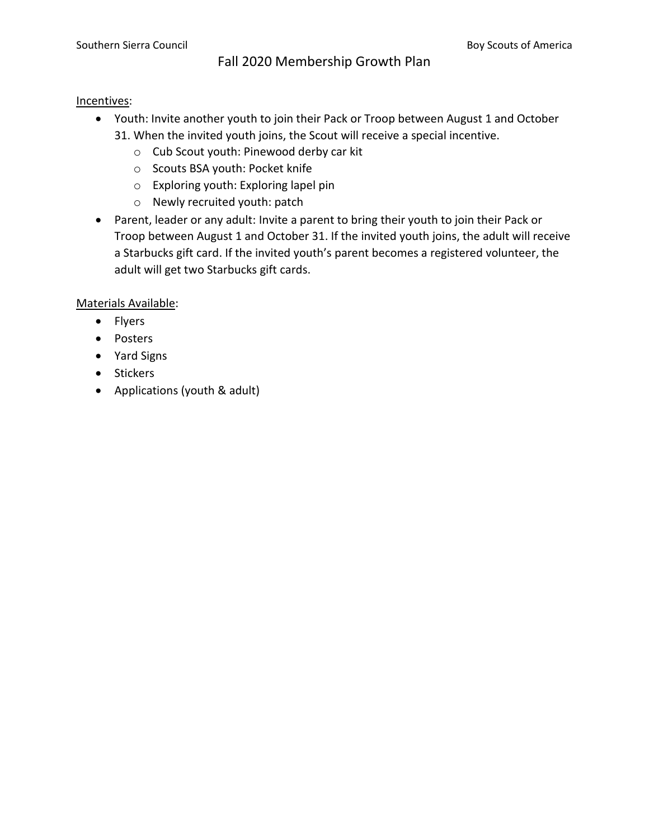### Incentives:

- Youth: Invite another youth to join their Pack or Troop between August 1 and October 31. When the invited youth joins, the Scout will receive a special incentive.
	- o Cub Scout youth: Pinewood derby car kit
	- o Scouts BSA youth: Pocket knife
	- o Exploring youth: Exploring lapel pin
	- o Newly recruited youth: patch
- Parent, leader or any adult: Invite a parent to bring their youth to join their Pack or Troop between August 1 and October 31. If the invited youth joins, the adult will receive a Starbucks gift card. If the invited youth's parent becomes a registered volunteer, the adult will get two Starbucks gift cards.

Materials Available:

- Flyers
- Posters
- Yard Signs
- Stickers
- Applications (youth & adult)